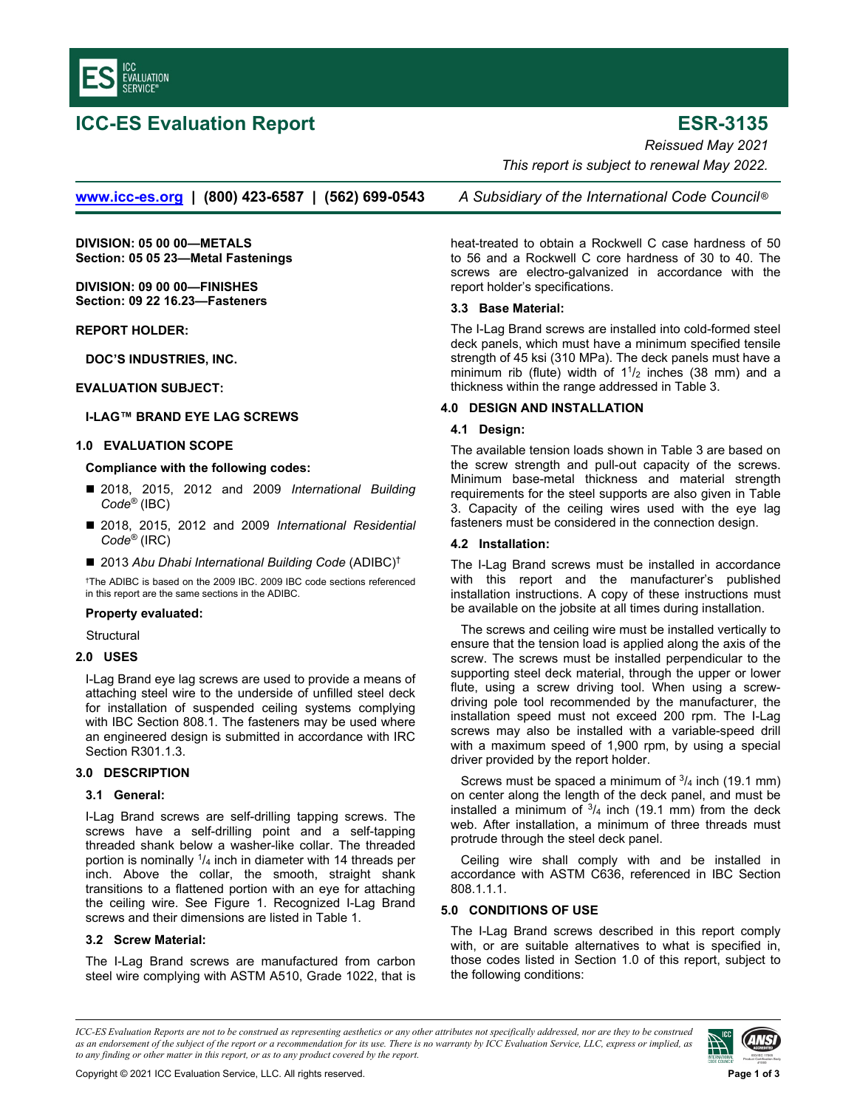

# **ICC-ES Evaluation Report ESR-3135**

*Reissued May 2021 This report is subject to renewal May 2022.* 

**www.icc-es.org | (800) 423-6587 | (562) 699-0543** *A Subsidiary of the International Code Council* ®

**DIVISION: 05 00 00—METALS Section: 05 05 23—Metal Fastenings** 

**DIVISION: 09 00 00—FINISHES Section: 09 22 16.23—Fasteners** 

**REPORT HOLDER:** 

**DOC'S INDUSTRIES, INC.** 

## **EVALUATION SUBJECT:**

## **I-LAG™ BRAND EYE LAG SCREWS**

## **1.0 EVALUATION SCOPE**

#### **Compliance with the following codes:**

- 2018, 2015, 2012 and 2009 *International Building Code®* (IBC)
- 2018, 2015, 2012 and 2009 *International Residential Code®* (IRC)
- 2013 Abu Dhabi International Building Code (ADIBC)<sup>†</sup>

† The ADIBC is based on the 2009 IBC. 2009 IBC code sections referenced in this report are the same sections in the ADIBC.

## **Property evaluated:**

**Structural** 

#### **2.0 USES**

I-Lag Brand eye lag screws are used to provide a means of attaching steel wire to the underside of unfilled steel deck for installation of suspended ceiling systems complying with IBC Section 808.1. The fasteners may be used where an engineered design is submitted in accordance with IRC Section R301.1.3.

# **3.0 DESCRIPTION**

#### **3.1 General:**

I-Lag Brand screws are self-drilling tapping screws. The screws have a self-drilling point and a self-tapping threaded shank below a washer-like collar. The threaded portion is nominally  $\frac{1}{4}$  inch in diameter with 14 threads per inch. Above the collar, the smooth, straight shank transitions to a flattened portion with an eye for attaching the ceiling wire. See Figure 1. Recognized I-Lag Brand screws and their dimensions are listed in Table 1.

## **3.2 Screw Material:**

The I-Lag Brand screws are manufactured from carbon steel wire complying with ASTM A510, Grade 1022, that is

heat-treated to obtain a Rockwell C case hardness of 50 to 56 and a Rockwell C core hardness of 30 to 40. The screws are electro-galvanized in accordance with the report holder's specifications.

## **3.3 Base Material:**

The I-Lag Brand screws are installed into cold-formed steel deck panels, which must have a minimum specified tensile strength of 45 ksi (310 MPa). The deck panels must have a minimum rib (flute) width of  $1\frac{1}{2}$  inches (38 mm) and a thickness within the range addressed in Table 3.

#### **4.0 DESIGN AND INSTALLATION**

## **4.1 Design:**

The available tension loads shown in Table 3 are based on the screw strength and pull-out capacity of the screws. Minimum base-metal thickness and material strength requirements for the steel supports are also given in Table 3. Capacity of the ceiling wires used with the eye lag fasteners must be considered in the connection design.

## **4.2 Installation:**

The I-Lag Brand screws must be installed in accordance with this report and the manufacturer's published installation instructions. A copy of these instructions must be available on the jobsite at all times during installation.

The screws and ceiling wire must be installed vertically to ensure that the tension load is applied along the axis of the screw. The screws must be installed perpendicular to the supporting steel deck material, through the upper or lower flute, using a screw driving tool. When using a screwdriving pole tool recommended by the manufacturer, the installation speed must not exceed 200 rpm. The I-Lag screws may also be installed with a variable-speed drill with a maximum speed of 1,900 rpm, by using a special driver provided by the report holder.

Screws must be spaced a minimum of  $\frac{3}{4}$  inch (19.1 mm) on center along the length of the deck panel, and must be installed a minimum of  $\frac{3}{4}$  inch (19.1 mm) from the deck web. After installation, a minimum of three threads must protrude through the steel deck panel.

Ceiling wire shall comply with and be installed in accordance with ASTM C636, referenced in IBC Section 808.1.1.1.

#### **5.0 CONDITIONS OF USE**

The I-Lag Brand screws described in this report comply with, or are suitable alternatives to what is specified in, those codes listed in Section 1.0 of this report, subject to the following conditions:

*ICC-ES Evaluation Reports are not to be construed as representing aesthetics or any other attributes not specifically addressed, nor are they to be construed as an endorsement of the subject of the report or a recommendation for its use. There is no warranty by ICC Evaluation Service, LLC, express or implied, as to any finding or other matter in this report, or as to any product covered by the report.*

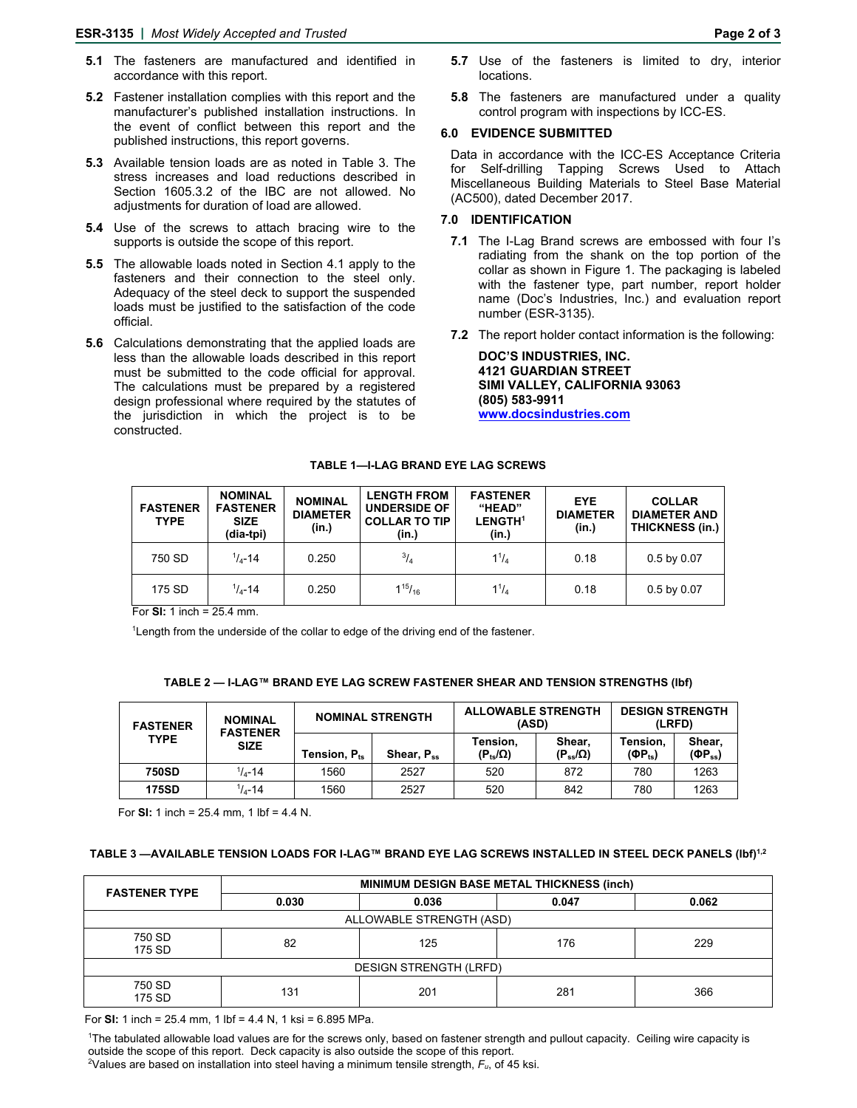- **5.1** The fasteners are manufactured and identified in accordance with this report.
- **5.2** Fastener installation complies with this report and the manufacturer's published installation instructions. In the event of conflict between this report and the published instructions, this report governs.
- **5.3** Available tension loads are as noted in Table 3. The stress increases and load reductions described in Section 1605.3.2 of the IBC are not allowed. No adjustments for duration of load are allowed.
- **5.4** Use of the screws to attach bracing wire to the supports is outside the scope of this report.
- **5.5** The allowable loads noted in Section 4.1 apply to the fasteners and their connection to the steel only. Adequacy of the steel deck to support the suspended loads must be justified to the satisfaction of the code official.
- **5.6** Calculations demonstrating that the applied loads are less than the allowable loads described in this report must be submitted to the code official for approval. The calculations must be prepared by a registered design professional where required by the statutes of the jurisdiction in which the project is to be constructed.
- **5.7** Use of the fasteners is limited to dry, interior locations.
- **5.8** The fasteners are manufactured under a quality control program with inspections by ICC-ES.

#### **6.0 EVIDENCE SUBMITTED**

Data in accordance with the ICC-ES Acceptance Criteria for Self-drilling Tapping Screws Used to Attach Miscellaneous Building Materials to Steel Base Material (AC500), dated December 2017.

#### **7.0 IDENTIFICATION**

- **7.1** The I-Lag Brand screws are embossed with four I's radiating from the shank on the top portion of the collar as shown in Figure 1. The packaging is labeled with the fastener type, part number, report holder name (Doc's Industries, Inc.) and evaluation report number (ESR-3135).
- **7.2** The report holder contact information is the following:

**DOC'S INDUSTRIES, INC. 4121 GUARDIAN STREET SIMI VALLEY, CALIFORNIA 93063 (805) 583-9911 www.docsindustries.com** 

#### **TABLE 1—I-LAG BRAND EYE LAG SCREWS**

| <b>FASTENER</b><br><b>TYPE</b> | <b>NOMINAL</b><br><b>FASTENER</b><br><b>SIZE</b><br>(dia-tpi) | <b>NOMINAL</b><br><b>DIAMETER</b><br>(in.) | <b>LENGTH FROM</b><br><b>UNDERSIDE OF</b><br><b>COLLAR TO TIP</b><br>(in.) | <b>FASTENER</b><br>"HEAD"<br><b>LENGTH<sup>1</sup></b><br>(in.) | <b>EYE</b><br><b>DIAMETER</b><br>(in.) | <b>COLLAR</b><br><b>DIAMETER AND</b><br><b>THICKNESS (in.)</b> |
|--------------------------------|---------------------------------------------------------------|--------------------------------------------|----------------------------------------------------------------------------|-----------------------------------------------------------------|----------------------------------------|----------------------------------------------------------------|
| 750 SD                         | $1/4 - 14$                                                    | 0.250                                      | $^{3}/_{4}$                                                                | $1^{1}/_{4}$                                                    | 0.18                                   | $0.5$ by $0.07$                                                |
| 175 SD                         | $1/4 - 14$                                                    | 0.250                                      | $1^{15}/_{16}$                                                             | $1^{1}/_{4}$                                                    | 0.18                                   | $0.5$ by $0.07$                                                |

For **SI:** 1 inch = 25.4 mm.

<sup>1</sup> Length from the underside of the collar to edge of the driving end of the fastener.

#### **TABLE 2 — I-LAG™ BRAND EYE LAG SCREW FASTENER SHEAR AND TENSION STRENGTHS (lbf)**

| <b>FASTENER</b><br><b>TYPE</b> | <b>NOMINAL</b><br><b>FASTENER</b><br><b>SIZE</b> | <b>NOMINAL STRENGTH</b>  |                        | <b>ALLOWABLE STRENGTH</b><br>(ASD) |                             | <b>DESIGN STRENGTH</b><br>(LRFD)                       |                           |
|--------------------------------|--------------------------------------------------|--------------------------|------------------------|------------------------------------|-----------------------------|--------------------------------------------------------|---------------------------|
|                                |                                                  | Tension, P <sub>ts</sub> | Shear, P <sub>ss</sub> | Tension,<br>$(P_{ts}/\Omega)$      | Shear.<br>$(P_{ss}/\Omega)$ | Tension.<br>$(\mathbf{\Phi} \mathsf{P}_{\mathrm{ts}})$ | Shear.<br>$(\Phi P_{ss})$ |
| 750SD                          | $1/4 - 14$                                       | 1560                     | 2527                   | 520                                | 872                         | 780                                                    | 1263                      |
| <b>175SD</b>                   | $1/1 - 14$                                       | 1560                     | 2527                   | 520                                | 842                         | 780                                                    | 1263                      |

For **SI:** 1 inch = 25.4 mm, 1 lbf = 4.4 N.

## **TABLE 3 —AVAILABLE TENSION LOADS FOR I-LAG™ BRAND EYE LAG SCREWS INSTALLED IN STEEL DECK PANELS (lbf)1,2**

| <b>FASTENER TYPE</b>          | <b>MINIMUM DESIGN BASE METAL THICKNESS (inch)</b> |            |       |       |  |  |  |
|-------------------------------|---------------------------------------------------|------------|-------|-------|--|--|--|
|                               | 0.030                                             | 0.036      | 0.047 | 0.062 |  |  |  |
| ALLOWABLE STRENGTH (ASD)      |                                                   |            |       |       |  |  |  |
| 750 SD<br>175 SD              | 82                                                | 125<br>176 |       | 229   |  |  |  |
| <b>DESIGN STRENGTH (LRFD)</b> |                                                   |            |       |       |  |  |  |
| 750 SD<br>175 SD              | 131                                               | 201        | 281   | 366   |  |  |  |

For **SI:** 1 inch = 25.4 mm, 1 lbf = 4.4 N, 1 ksi = 6.895 MPa.

1 The tabulated allowable load values are for the screws only, based on fastener strength and pullout capacity. Ceiling wire capacity is outside the scope of this report. Deck capacity is also outside the scope of this report. 2

Values are based on installation into steel having a minimum tensile strength, *Fu*, of 45 ksi.